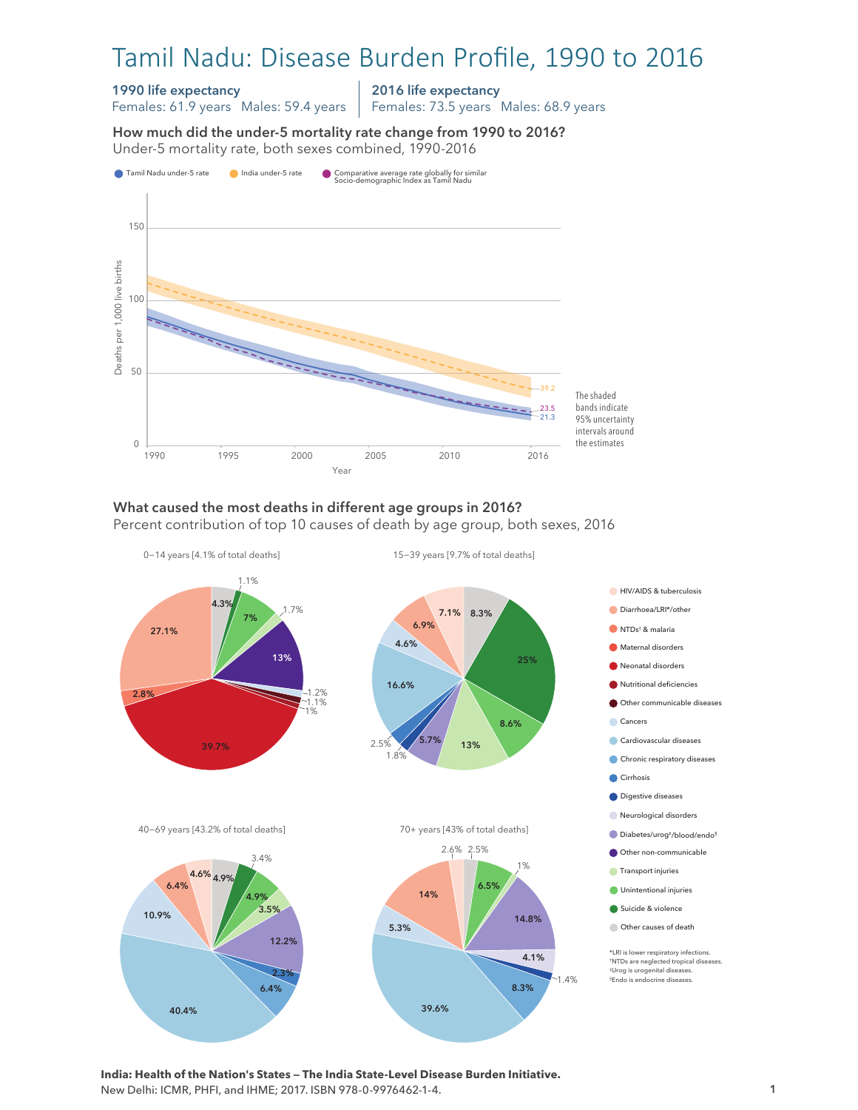# Tamil Nadu: Disease Burden Profile, 1990 to 2016

#### 1990 life expectancy

Females: 61.9 years Males: 59.4 years

2016 life expectancy Females: 73.5 years Males: 68.9 years

How much did the under-5 mortality rate change from 1990 to 2016? Under-5 mortality rate, both sexes combined, 1990-2016 Under-5 mortality rate, both sexes combined, 1990-2016 How much did the under-5 mortality rate change from 1990 to 2016?



## What caused the most deaths in different age groups in 2016?

Percent contribution of top 10 causes of death by age group, both sexes, 2016



**India: Health of the Nation's States — The India State-Level Disease Burden Initiative.**  New Delhi: ICMR, PHFI, and IHME; 2017. ISBN 978-0-9976462-1-4.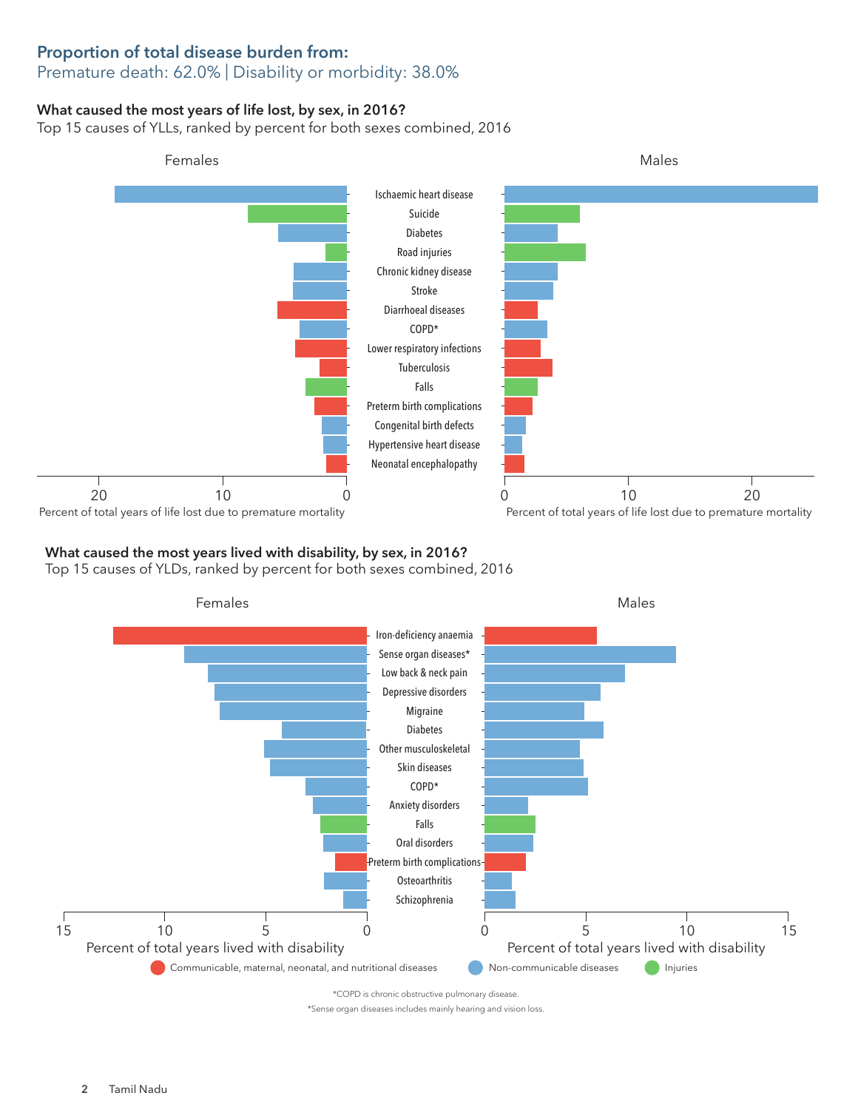## Proportion of total disease burden from:

### Premature death: 62.0% | Disability or morbidity: 38.0%

#### What caused the most years of life lost, by sex, in 2016?

Top 15 causes of YLLs, ranked by percent for both sexes combined, 2016



#### What caused the most years lived with disability, by sex, in 2016?

Top 15 causes of YLDs, ranked by percent for both sexes combined, 2016



\*Sense organ diseases includes mainly hearing and vision loss.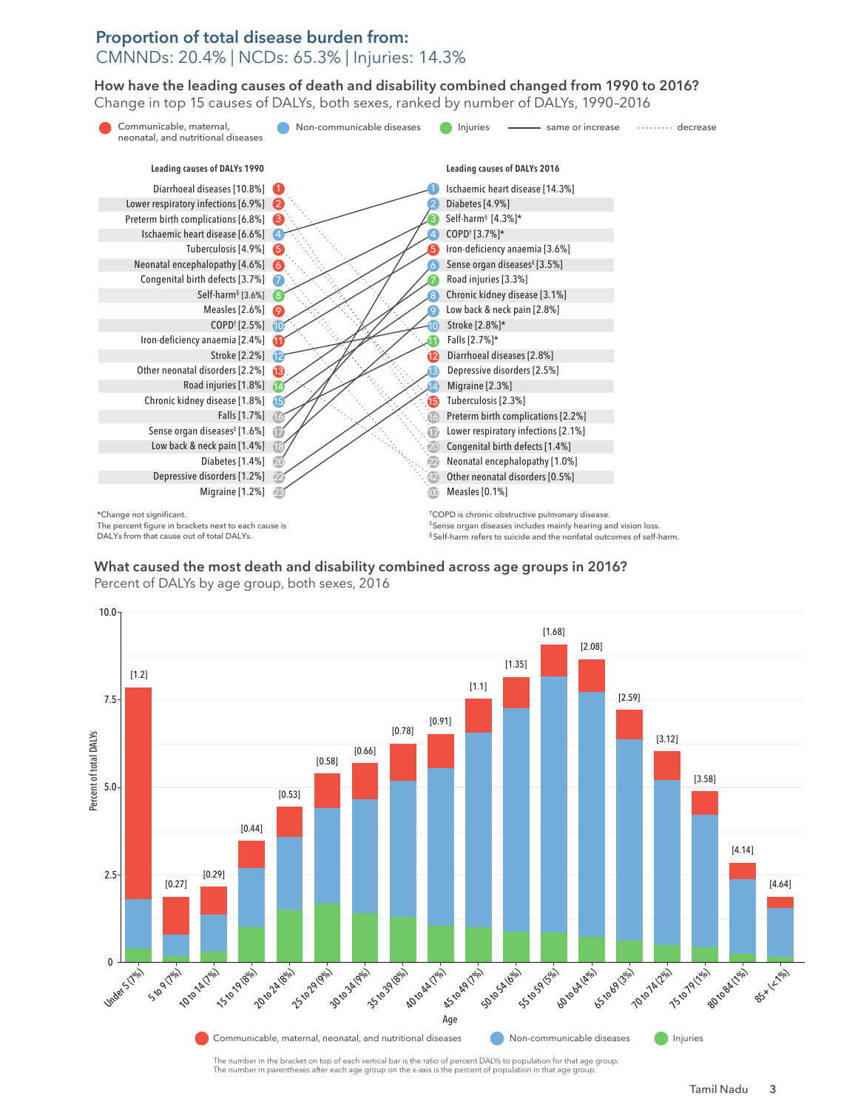### Proportion of total disease burden from: CMNNDs: 20.4% | NCDs: 65.3% | Injuries: 14.3%

How have the leading causes of death and disability combined changed from 1990 to 2016? How have the leading causes of death and disability combined changed from 1990 to 2016? Change in top 15 causes of DALYs, both sexes, ranked by number of DALYs, 1990–2016 Change in top 15 causes of DALYs, both sexes, ranked by number of DALYs, 1990–2016



What caused the most death and disability combined across age groups in 2016? What caused the most death and disability combined across age groups in 2016?<br>Production of PAUX Percent of DALYs by age group, both sexes, 2016



The number in parentheses after each age group on the x-axis is the percent of population in that age group.